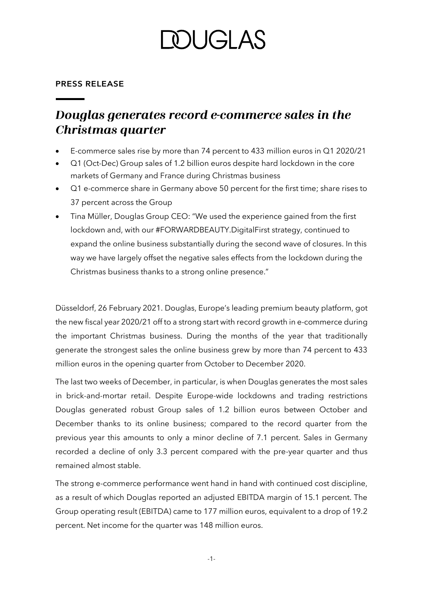## **DUGLAS**

#### **PRESS RELEASE**

### Douglas generates record e-commerce sales in the **Christmas quarter**

- E-commerce sales rise by more than 74 percent to 433 million euros in Q1 2020/21
- Q1 (Oct-Dec) Group sales of 1.2 billion euros despite hard lockdown in the core markets of Germany and France during Christmas business
- Q1 e-commerce share in Germany above 50 percent for the first time; share rises to 37 percent across the Group
- Tina Müller, Douglas Group CEO: "We used the experience gained from the first lockdown and, with our #FORWARDBEAUTY.DigitalFirst strategy, continued to expand the online business substantially during the second wave of closures. In this way we have largely offset the negative sales effects from the lockdown during the Christmas business thanks to a strong online presence."

Düsseldorf, 26 February 2021. Douglas, Europe's leading premium beauty platform, got the new fiscal year 2020/21 off to a strong start with record growth in e-commerce during the important Christmas business. During the months of the year that traditionally generate the strongest sales the online business grew by more than 74 percent to 433 million euros in the opening quarter from October to December 2020.

The last two weeks of December, in particular, is when Douglas generates the most sales in brick-and-mortar retail. Despite Europe-wide lockdowns and trading restrictions Douglas generated robust Group sales of 1.2 billion euros between October and December thanks to its online business; compared to the record quarter from the previous year this amounts to only a minor decline of 7.1 percent. Sales in Germany recorded a decline of only 3.3 percent compared with the pre-year quarter and thus remained almost stable.

The strong e-commerce performance went hand in hand with continued cost discipline, as a result of which Douglas reported an adjusted EBITDA margin of 15.1 percent. The Group operating result (EBITDA) came to 177 million euros, equivalent to a drop of 19.2 percent. Net income for the quarter was 148 million euros.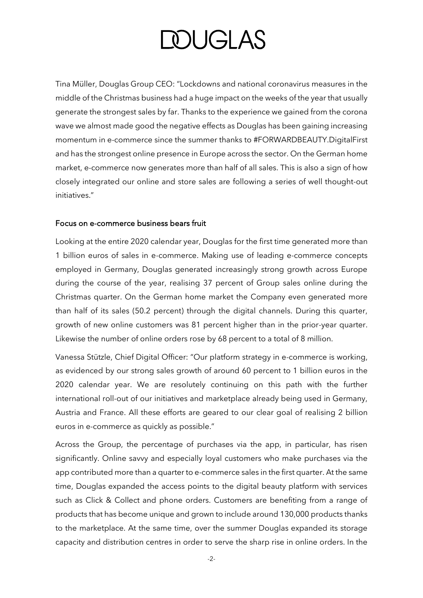# **DOUGLAS**

Tina Müller, Douglas Group CEO: "Lockdowns and national coronavirus measures in the middle of the Christmas business had a huge impact on the weeks of the year that usually generate the strongest sales by far. Thanks to the experience we gained from the corona wave we almost made good the negative effects as Douglas has been gaining increasing momentum in e-commerce since the summer thanks to #FORWARDBEAUTY.DigitalFirst and has the strongest online presence in Europe across the sector. On the German home market, e-commerce now generates more than half of all sales. This is also a sign of how closely integrated our online and store sales are following a series of well thought-out initiatives."

#### Focus on e-commerce business bears fruit

Looking at the entire 2020 calendar year, Douglas for the first time generated more than 1 billion euros of sales in e-commerce. Making use of leading e-commerce concepts employed in Germany, Douglas generated increasingly strong growth across Europe during the course of the year, realising 37 percent of Group sales online during the Christmas quarter. On the German home market the Company even generated more than half of its sales (50.2 percent) through the digital channels. During this quarter, growth of new online customers was 81 percent higher than in the prior-year quarter. Likewise the number of online orders rose by 68 percent to a total of 8 million.

Vanessa Stützle, Chief Digital Officer: "Our platform strategy in e-commerce is working, as evidenced by our strong sales growth of around 60 percent to 1 billion euros in the 2020 calendar year. We are resolutely continuing on this path with the further international roll-out of our initiatives and marketplace already being used in Germany, Austria and France. All these efforts are geared to our clear goal of realising 2 billion euros in e-commerce as quickly as possible."

Across the Group, the percentage of purchases via the app, in particular, has risen significantly. Online savvy and especially loyal customers who make purchases via the app contributed more than a quarter to e-commerce sales in the first quarter. At the same time, Douglas expanded the access points to the digital beauty platform with services such as Click & Collect and phone orders. Customers are benefiting from a range of products that has become unique and grown to include around 130,000 products thanks to the marketplace. At the same time, over the summer Douglas expanded its storage capacity and distribution centres in order to serve the sharp rise in online orders. In the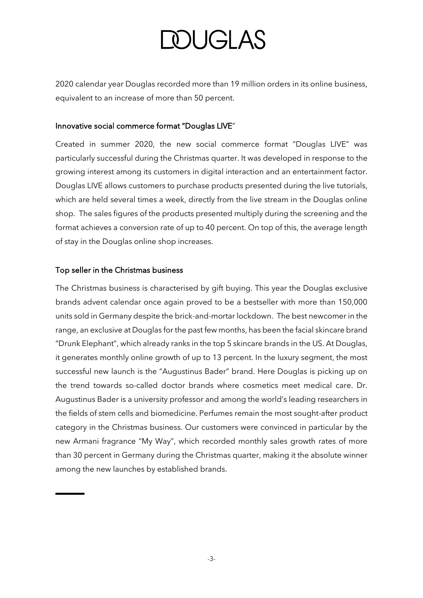# **DOUGLAS**

2020 calendar year Douglas recorded more than 19 million orders in its online business, equivalent to an increase of more than 50 percent.

### Innovative social commerce format "Douglas LIVE"

Created in summer 2020, the new social commerce format "Douglas LIVE" was particularly successful during the Christmas quarter. It was developed in response to the growing interest among its customers in digital interaction and an entertainment factor. Douglas LIVE allows customers to purchase products presented during the live tutorials, which are held several times a week, directly from the live stream in the Douglas online shop. The sales figures of the products presented multiply during the screening and the format achieves a conversion rate of up to 40 percent. On top of this, the average length of stay in the Douglas online shop increases.

### Top seller in the Christmas business

The Christmas business is characterised by gift buying. This year the Douglas exclusive brands advent calendar once again proved to be a bestseller with more than 150,000 units sold in Germany despite the brick-and-mortar lockdown. The best newcomer in the range, an exclusive at Douglas for the past few months, has been the facial skincare brand "Drunk Elephant", which already ranks in the top 5 skincare brands in the US. At Douglas, it generates monthly online growth of up to 13 percent. In the luxury segment, the most successful new launch is the "Augustinus Bader" brand. Here Douglas is picking up on the trend towards so-called doctor brands where cosmetics meet medical care. Dr. Augustinus Bader is a university professor and among the world's leading researchers in the fields of stem cells and biomedicine. Perfumes remain the most sought-after product category in the Christmas business. Our customers were convinced in particular by the new Armani fragrance "My Way", which recorded monthly sales growth rates of more than 30 percent in Germany during the Christmas quarter, making it the absolute winner among the new launches by established brands.